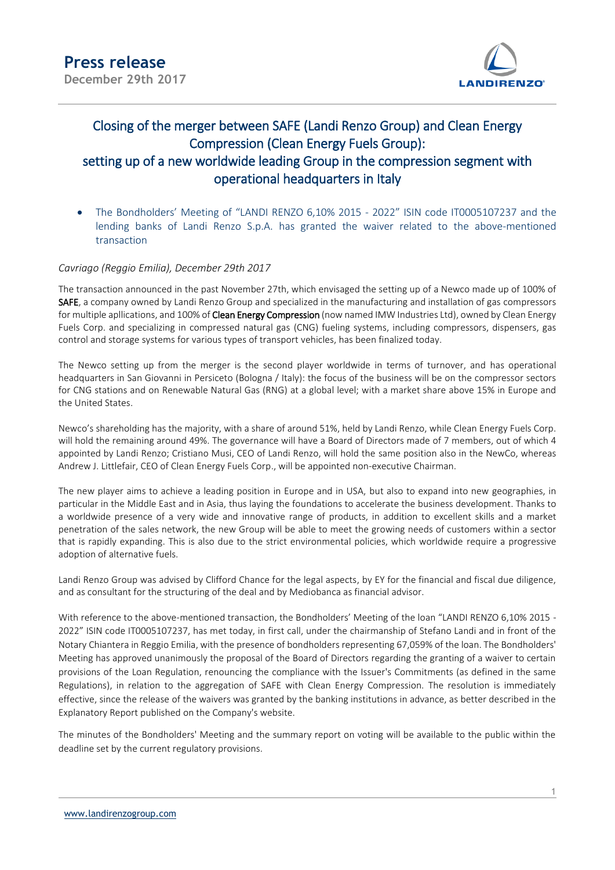

## Closing of the merger between SAFE (Landi Renzo Group) and Clean Energy Compression (Clean Energy Fuels Group): setting up of a new worldwide leading Group in the compression segment with operational headquarters in Italy

 The Bondholders' Meeting of "LANDI RENZO 6,10% 2015 - 2022" ISIN code IT0005107237 and the lending banks of Landi Renzo S.p.A. has granted the waiver related to the above-mentioned transaction

## *Cavriago (Reggio Emilia), December 29th 2017*

The transaction announced in the past November 27th, which envisaged the setting up of a Newco made up of 100% of SAFE, a company owned by Landi Renzo Group and specialized in the manufacturing and installation of gas compressors for multiple apllications, and 100% of Clean Energy Compression (now named IMW Industries Ltd), owned by Clean Energy Fuels Corp. and specializing in compressed natural gas (CNG) fueling systems, including compressors, dispensers, gas control and storage systems for various types of transport vehicles, has been finalized today.

The Newco setting up from the merger is the second player worldwide in terms of turnover, and has operational headquarters in San Giovanni in Persiceto (Bologna / Italy): the focus of the business will be on the compressor sectors for CNG stations and on Renewable Natural Gas (RNG) at a global level; with a market share above 15% in Europe and the United States.

Newco's shareholding has the majority, with a share of around 51%, held by Landi Renzo, while Clean Energy Fuels Corp. will hold the remaining around 49%. The governance will have a Board of Directors made of 7 members, out of which 4 appointed by Landi Renzo; Cristiano Musi, CEO of Landi Renzo, will hold the same position also in the NewCo, whereas Andrew J. Littlefair, CEO of Clean Energy Fuels Corp., will be appointed non-executive Chairman.

The new player aims to achieve a leading position in Europe and in USA, but also to expand into new geographies, in particular in the Middle East and in Asia, thus laying the foundations to accelerate the business development. Thanks to a worldwide presence of a very wide and innovative range of products, in addition to excellent skills and a market penetration of the sales network, the new Group will be able to meet the growing needs of customers within a sector that is rapidly expanding. This is also due to the strict environmental policies, which worldwide require a progressive adoption of alternative fuels.

Landi Renzo Group was advised by Clifford Chance for the legal aspects, by EY for the financial and fiscal due diligence, and as consultant for the structuring of the deal and by Mediobanca as financial advisor.

With reference to the above-mentioned transaction, the Bondholders' Meeting of the loan "LANDI RENZO 6,10% 2015 - 2022" ISIN code IT0005107237, has met today, in first call, under the chairmanship of Stefano Landi and in front of the Notary Chiantera in Reggio Emilia, with the presence of bondholders representing 67,059% of the loan. The Bondholders' Meeting has approved unanimously the proposal of the Board of Directors regarding the granting of a waiver to certain provisions of the Loan Regulation, renouncing the compliance with the Issuer's Commitments (as defined in the same Regulations), in relation to the aggregation of SAFE with Clean Energy Compression. The resolution is immediately effective, since the release of the waivers was granted by the banking institutions in advance, as better described in the Explanatory Report published on the Company's website.

The minutes of the Bondholders' Meeting and the summary report on voting will be available to the public within the deadline set by the current regulatory provisions.